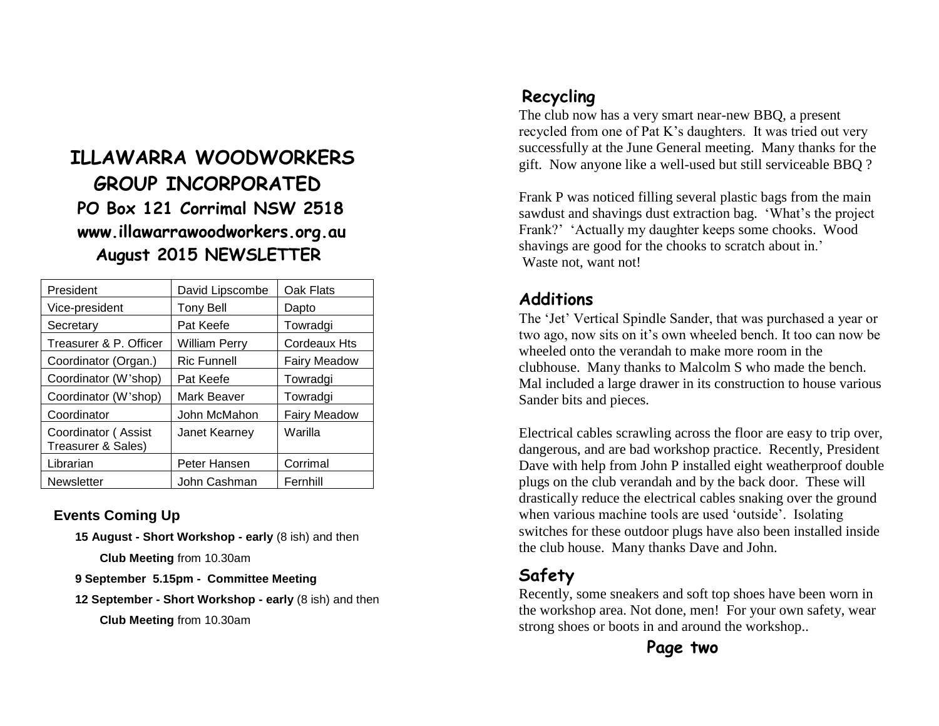## **ILLAWARRA WOODWORKERS GROUP INCORPORATED PO Box 121 Corrimal NSW 2518 www.illawarrawoodworkers.org.au August 2015 NEWSLETTER**

| President                                 | David Lipscombe    | Oak Flats           |
|-------------------------------------------|--------------------|---------------------|
| Vice-president                            | Tony Bell          | Dapto               |
| Secretary                                 | Pat Keefe          | Towradgi            |
| Treasurer & P. Officer                    | William Perry      | Cordeaux Hts        |
| Coordinator (Organ.)                      | <b>Ric Funnell</b> | <b>Fairy Meadow</b> |
| Coordinator (W'shop)                      | Pat Keefe          | Towradgi            |
| Coordinator (W'shop)                      | Mark Beaver        | Towradgi            |
| Coordinator                               | John McMahon       | <b>Fairy Meadow</b> |
| Coordinator (Assist<br>Treasurer & Sales) | Janet Kearney      | Warilla             |
| Librarian                                 | Peter Hansen       | Corrimal            |
| <b>Newsletter</b>                         | John Cashman       | Fernhill            |

#### **Events Coming Up**

**15 August - Short Workshop - early** (8 ish) and then

**Club Meeting** from 10.30am

- **9 September 5.15pm Committee Meeting**
- **12 September - Short Workshop - early** (8 ish) and then

**Club Meeting** from 10.30am

### **Recycling**

The club now has a very smart near-new BBQ, a present recycled from one of Pat K's daughters. It was tried out very successfully at the June General meeting. Many thanks for the gift. Now anyone like a well-used but still serviceable BBQ ?

Frank P was noticed filling several plastic bags from the main sawdust and shavings dust extraction bag. 'What's the project Frank?' 'Actually my daughter keeps some chooks. Wood shavings are good for the chooks to scratch about in.' Waste not, want not!

#### **Additions**

The 'Jet' Vertical Spindle Sander, that was purchased a year or two ago, now sits on it's own wheeled bench. It too can now be wheeled onto the verandah to make more room in the clubhouse. Many thanks to Malcolm S who made the bench. Mal included a large drawer in its construction to house various Sander bits and pieces.

Electrical cables scrawling across the floor are easy to trip over, dangerous, and are bad workshop practice. Recently, President Dave with help from John P installed eight weatherproof double plugs on the club verandah and by the back door. These will drastically reduce the electrical cables snaking over the ground when various machine tools are used 'outside'. Isolating switches for these outdoor plugs have also been installed inside the club house. Many thanks Dave and John.

### **Safety**

Recently, some sneakers and soft top shoes have been worn in the workshop area. Not done, men! For your own safety, wear strong shoes or boots in and around the workshop..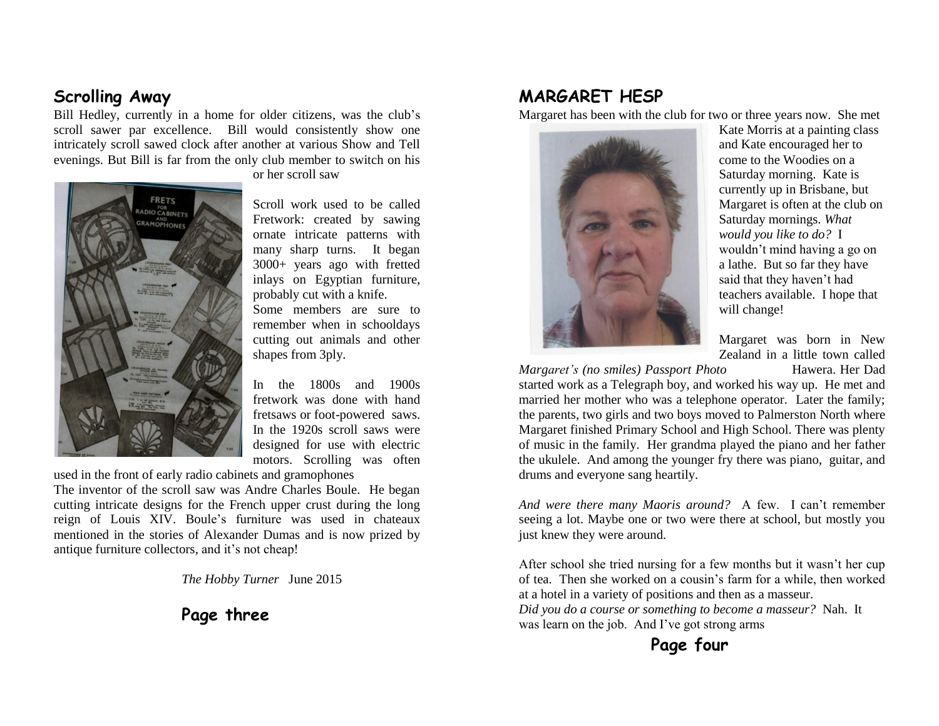#### **Scrolling Away**

Bill Hedley, currently in a home for older citizens, was the club's scroll sawer par excellence. Bill would consistently show one intricately scroll sawed clock after another at various Show and Tell evenings. But Bill is far from the only club member to switch on his



or her scroll saw

Scroll work used to be called Fretwork: created by sawing ornate intricate patterns with many sharp turns. It began 3000+ years ago with fretted inlays on Egyptian furniture, probably cut with a knife. Some members are sure to remember when in schooldays cutting out animals and other shapes from 3ply.

In the 1800s and 1900s fretwork was done with hand fretsaws or foot-powered saws. In the 1920s scroll saws were designed for use with electric motors. Scrolling was often

used in the front of early radio cabinets and gramophones

The inventor of the scroll saw was Andre Charles Boule. He began cutting intricate designs for the French upper crust during the long reign of Louis XIV. Boule's furniture was used in chateaux mentioned in the stories of Alexander Dumas and is now prized by antique furniture collectors, and it's not cheap!

*The Hobby Turner* June 2015

**Page three**

#### **MARGARET HESP**

Margaret has been with the club for two or three years now. She met



Kate Morris at a painting class and Kate encouraged her to come to the Woodies on a Saturday morning. Kate is currently up in Brisbane, but Margaret is often at the club on Saturday mornings. *What would you like to do?* I wouldn't mind having a go on a lathe. But so far they have said that they haven't had teachers available. I hope that will change!

Margaret was born in New Zealand in a little town called

*Margaret's (no smiles) Passport Photo* Hawera. Her Dad started work as a Telegraph boy, and worked his way up. He met and married her mother who was a telephone operator. Later the family; the parents, two girls and two boys moved to Palmerston North where Margaret finished Primary School and High School. There was plenty of music in the family. Her grandma played the piano and her father the ukulele. And among the younger fry there was piano, guitar, and drums and everyone sang heartily.

*And were there many Maoris around?* A few. I can't remember seeing a lot. Maybe one or two were there at school, but mostly you just knew they were around.

After school she tried nursing for a few months but it wasn't her cup of tea. Then she worked on a cousin's farm for a while, then worked at a hotel in a variety of positions and then as a masseur.

*Did you do a course or something to become a masseur?* Nah. It was learn on the job. And I've got strong arms

#### **Page four**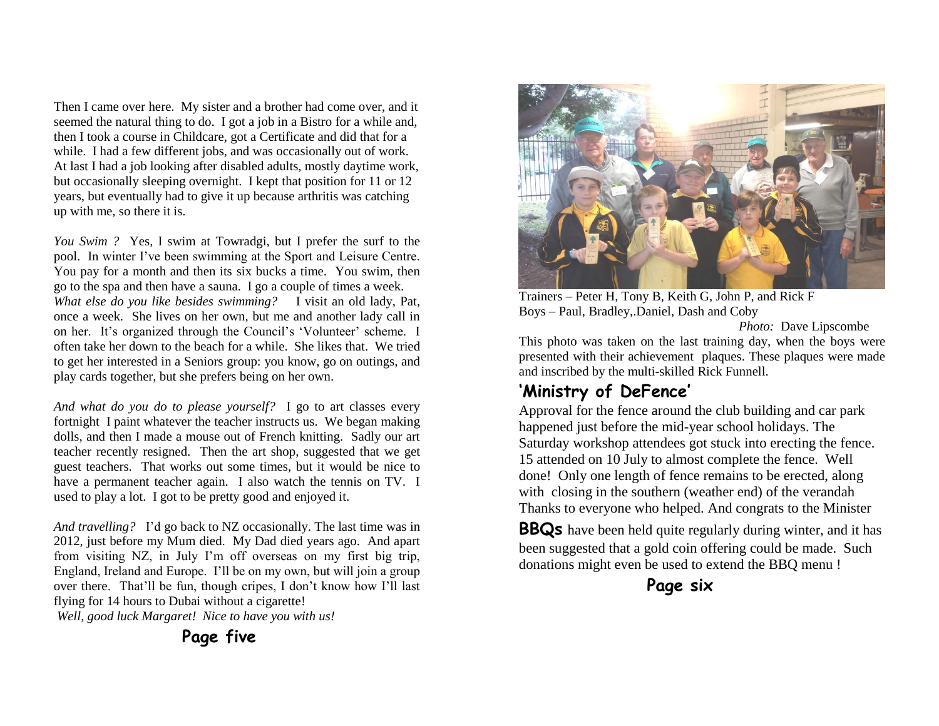Then I came over here. My sister and a brother had come over, and it seemed the natural thing to do. I got a job in a Bistro for a while and, then I took a course in Childcare, got a Certificate and did that for a while. I had a few different jobs, and was occasionally out of work. At last I had a job looking after disabled adults, mostly daytime work, but occasionally sleeping overnight. I kept that position for 11 or 12 years, but eventually had to give it up because arthritis was catching up with me, so there it is.

*You Swim ?* Yes, I swim at Towradgi, but I prefer the surf to the pool. In winter I've been swimming at the Sport and Leisure Centre. You pay for a month and then its six bucks a time. You swim, then go to the spa and then have a sauna. I go a couple of times a week. *What else do you like besides swimming?* I visit an old lady, Pat, once a week. She lives on her own, but me and another lady call in on her. It's organized through the Council's 'Volunteer' scheme. I often take her down to the beach for a while. She likes that. We tried to get her interested in a Seniors group: you know, go on outings, and play cards together, but she prefers being on her own.

*And what do you do to please yourself?* I go to art classes every fortnightI paint whatever the teacher instructs us. We began making dolls, and then I made a mouse out of French knitting. Sadly our art teacher recently resigned. Then the art shop, suggested that we get guest teachers. That works out some times, but it would be nice to have a permanent teacher again. I also watch the tennis on TV. I used to play a lot. I got to be pretty good and enjoyed it.

*And travelling?* I'd go back to NZ occasionally. The last time was in 2012, just before my Mum died. My Dad died years ago. And apart from visiting NZ, in July I'm off overseas on my first big trip, England, Ireland and Europe. I'll be on my own, but will join a group over there. That'll be fun, though cripes, I don't know how I'll last flying for 14 hours to Dubai without a cigarette!

*Well, good luck Margaret! Nice to have you with us!*



Trainers – Peter H, Tony B, Keith G, John P, and Rick F Boys – Paul, Bradley,.Daniel, Dash and Coby

*Photo:* Dave Lipscombe

This photo was taken on the last training day, when the boys were presented with their achievement plaques. These plaques were made and inscribed by the multi-skilled Rick Funnell.

### **'Ministry of DeFence'**

Approval for the fence around the club building and car park happened just before the mid-year school holidays. The Saturday workshop attendees got stuck into erecting the fence. 15 attended on 10 July to almost complete the fence. Well done! Only one length of fence remains to be erected, along with closing in the southern (weather end) of the verandah Thanks to everyone who helped. And congrats to the Minister

**BBQs** have been held quite regularly during winter, and it has been suggested that a gold coin offering could be made. Such donations might even be used to extend the BBQ menu !



 **Page five**